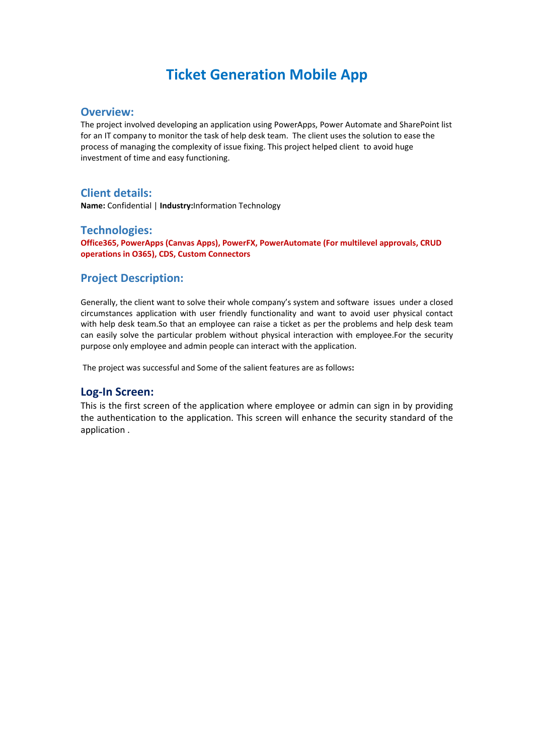# **Ticket Generation Mobile App**

#### **Overview:**

The project involved developing an application using PowerApps, Power Automate and SharePoint list for an IT company to monitor the task of help desk team. The client uses the solution to ease the process of managing the complexity of issue fixing. This project helped client to avoid huge investment of time and easy functioning.

## **Client details:**

**Name:** Confidential | **Industry:**Information Technology

### **Technologies:**

**Office365, PowerApps (Canvas Apps), PowerFX, PowerAutomate (For multilevel approvals, CRUD operations in O365), CDS, Custom Connectors**

## **Project Description:**

Generally, the client want to solve their whole company's system and software issues under a closed circumstances application with user friendly functionality and want to avoid user physical contact with help desk team.So that an employee can raise a ticket as per the problems and help desk team can easily solve the particular problem without physical interaction with employee.For the security purpose only employee and admin people can interact with the application.

The project was successful and Some of the salient features are as follows**:**

#### **Log-In Screen:**

This is the first screen of the application where employee or admin can sign in by providing the authentication to the application. This screen will enhance the security standard of the application .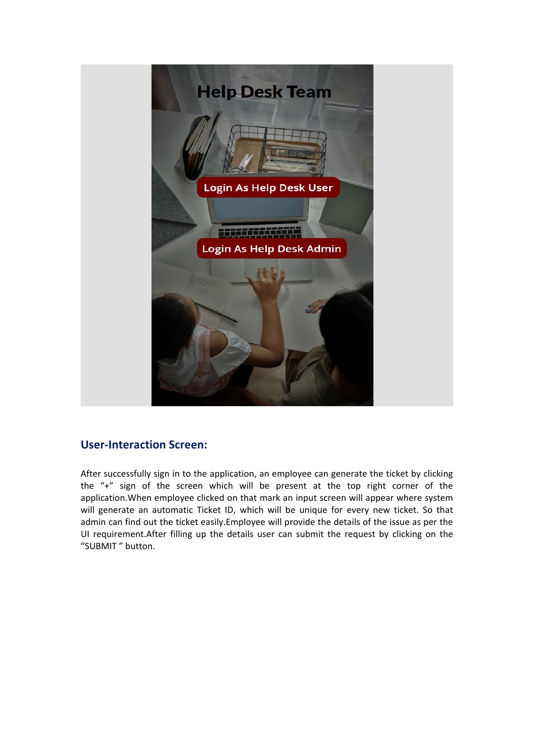

## **User-Interaction Screen:**

After successfully sign in to the application, an employee can generate the ticket by clicking the "+" sign of the screen which will be present at the top right corner of the application.When employee clicked on that mark an input screen will appear where system will generate an automatic Ticket ID, which will be unique for every new ticket. So that admin can find out the ticket easily.Employee will provide the details of the issue as per the UI requirement.After filling up the details user can submit the request by clicking on the "SUBMIT " button.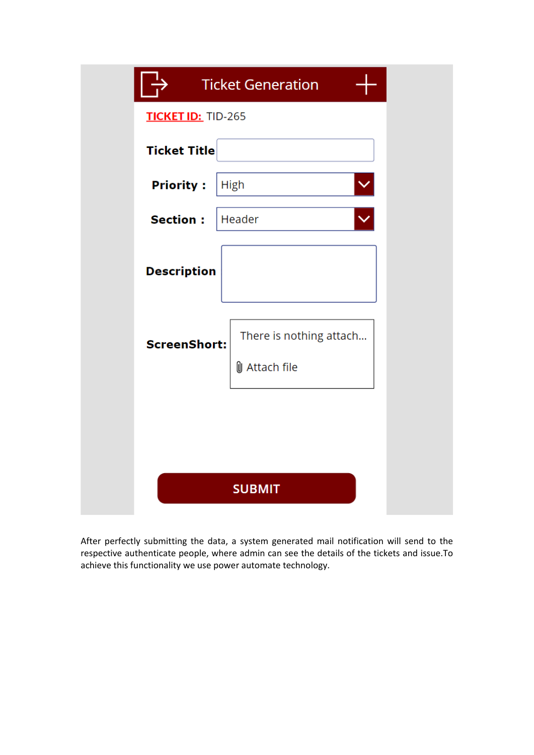|                           | <b>Ticket Generation</b>                        |
|---------------------------|-------------------------------------------------|
| <b>TICKET ID: TID-265</b> |                                                 |
| <b>Ticket Title</b>       |                                                 |
| <b>Priority:</b>          | $\checkmark$<br><b>High</b>                     |
| <b>Section:</b>           | Header                                          |
| <b>Description</b>        |                                                 |
| <b>ScreenShort:</b>       | There is nothing attach<br><b>U</b> Attach file |
|                           |                                                 |
|                           |                                                 |
|                           | <b>SUBMIT</b>                                   |

After perfectly submitting the data, a system generated mail notification will send to the respective authenticate people, where admin can see the details of the tickets and issue.To achieve this functionality we use power automate technology.